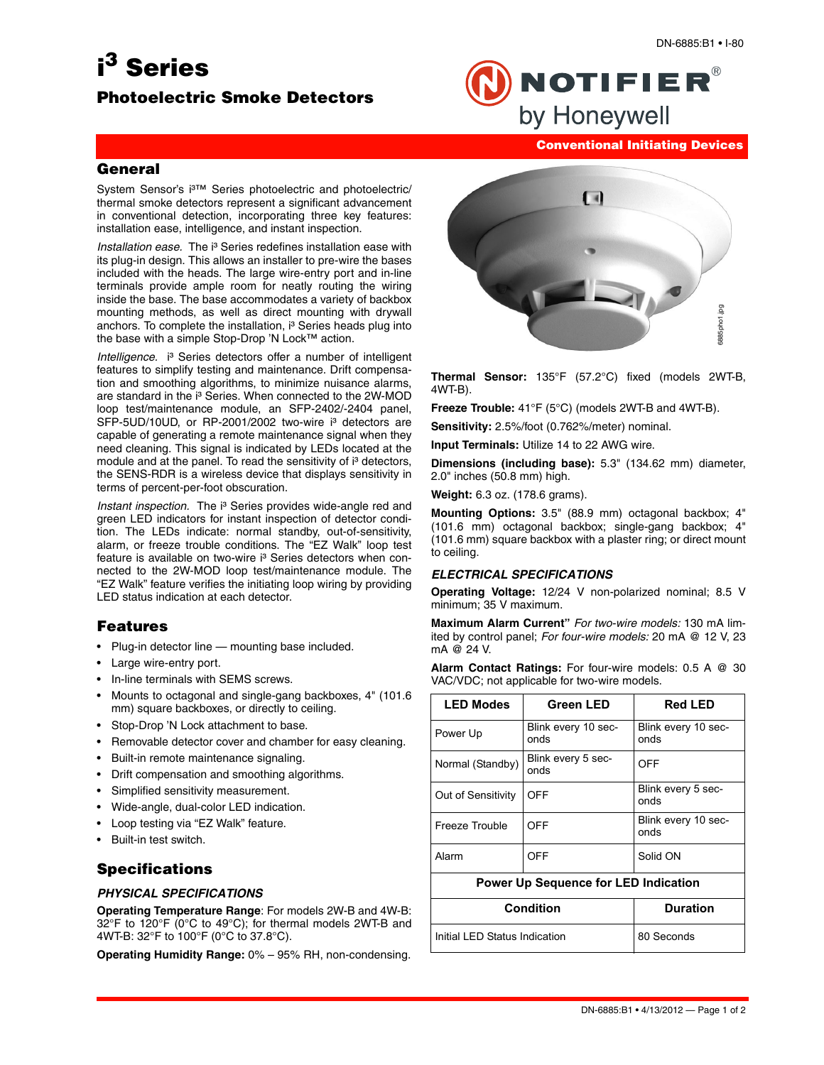# **i 3 Series**

## **Photoelectric Smoke Detectors**



#### **Conventional Initiating Devices**

#### **General**

System Sensor's i<sup>3™</sup> Series photoelectric and photoelectric/ thermal smoke detectors represent a significant advancement in conventional detection, incorporating three key features: installation ease, intelligence, and instant inspection.

*Installation ease.* The i<sup>3</sup> Series redefines installation ease with its plug-in design. This allows an installer to pre-wire the bases included with the heads. The large wire-entry port and in-line terminals provide ample room for neatly routing the wiring inside the base. The base accommodates a variety of backbox mounting methods, as well as direct mounting with drywall anchors. To complete the installation, i<sup>3</sup> Series heads plug into the base with a simple Stop-Drop 'N Lock™ action.

*Intelligence.* i<sup>3</sup> Series detectors offer a number of intelligent features to simplify testing and maintenance. Drift compensation and smoothing algorithms, to minimize nuisance alarms, are standard in the i<sup>3</sup> Series. When connected to the 2W-MOD loop test/maintenance module, an SFP-2402/-2404 panel, SFP-5UD/10UD, or RP-2001/2002 two-wire i<sup>3</sup> detectors are capable of generating a remote maintenance signal when they need cleaning. This signal is indicated by LEDs located at the module and at the panel. To read the sensitivity of i<sup>3</sup> detectors, the SENS-RDR is a wireless device that displays sensitivity in terms of percent-per-foot obscuration.

*Instant inspection.* The i<sup>3</sup> Series provides wide-angle red and green LED indicators for instant inspection of detector condition. The LEDs indicate: normal standby, out-of-sensitivity, alarm, or freeze trouble conditions. The "EZ Walk" loop test feature is available on two-wire i<sup>3</sup> Series detectors when connected to the 2W-MOD loop test/maintenance module. The "EZ Walk" feature verifies the initiating loop wiring by providing LED status indication at each detector.

## **Features**

- Plug-in detector line mounting base included.
- Large wire-entry port.
- In-line terminals with SEMS screws.
- Mounts to octagonal and single-gang backboxes, 4" (101.6 mm) square backboxes, or directly to ceiling.
- Stop-Drop 'N Lock attachment to base.
- Removable detector cover and chamber for easy cleaning.
- Built-in remote maintenance signaling.
- Drift compensation and smoothing algorithms.
- Simplified sensitivity measurement.
- Wide-angle, dual-color LED indication.
- Loop testing via "EZ Walk" feature.
- Built-in test switch.

## **Specifications**

#### *PHYSICAL SPECIFICATIONS*

**Operating Temperature Range**: For models 2W-B and 4W-B: 32°F to 120°F (0°C to 49°C); for thermal models 2WT-B and 4WT-B: 32°F to 100°F (0°C to 37.8°C).

**Operating Humidity Range:** 0% – 95% RH, non-condensing.



**Thermal Sensor:** 135°F (57.2°C) fixed (models 2WT-B, 4WT-B).

**Freeze Trouble:** 41°F (5°C) (models 2WT-B and 4WT-B).

**Sensitivity:** 2.5%/foot (0.762%/meter) nominal.

**Input Terminals:** Utilize 14 to 22 AWG wire.

**Dimensions (including base):** 5.3" (134.62 mm) diameter, 2.0" inches (50.8 mm) high.

**Weight:** 6.3 oz. (178.6 grams).

**Mounting Options:** 3.5" (88.9 mm) octagonal backbox; 4" (101.6 mm) octagonal backbox; single-gang backbox; 4" (101.6 mm) square backbox with a plaster ring; or direct mount to ceiling.

#### *ELECTRICAL SPECIFICATIONS*

**Operating Voltage:** 12/24 V non-polarized nominal; 8.5 V minimum; 35 V maximum.

**Maximum Alarm Current"** *For two-wire models:* 130 mA limited by control panel; *For four-wire models:* 20 mA @ 12 V, 23 mA @ 24 V.

**Alarm Contact Ratings:** For four-wire models: 0.5 A @ 30 VAC/VDC; not applicable for two-wire models.

| <b>LED Modes</b>                            | <b>Green LED</b>            | <b>Red LED</b>              |
|---------------------------------------------|-----------------------------|-----------------------------|
| Power Up                                    | Blink every 10 sec-<br>onds | Blink every 10 sec-<br>onds |
| Normal (Standby)                            | Blink every 5 sec-<br>onds  | <b>OFF</b>                  |
| Out of Sensitivity                          | OFF                         | Blink every 5 sec-<br>onds  |
| Freeze Trouble                              | OFF                         | Blink every 10 sec-<br>onds |
| Alarm                                       | OFF                         | Solid ON                    |
| <b>Power Up Sequence for LED Indication</b> |                             |                             |
| <b>Condition</b>                            |                             | <b>Duration</b>             |
| Initial LED Status Indication               |                             | 80 Seconds                  |